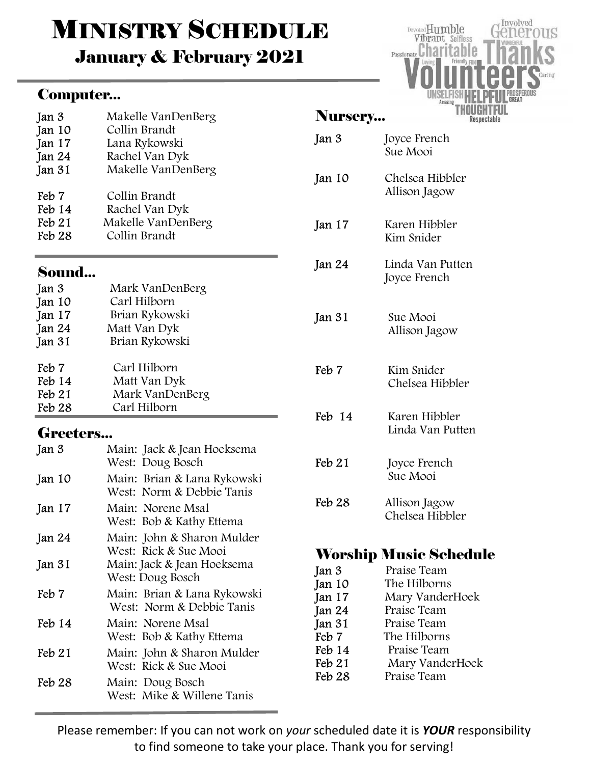# **MINISTRY SCHEDULE**

January & February 2021

### Computer...

| Jan 3            | Makelle VanDenBerg                                       |  |  |  |
|------------------|----------------------------------------------------------|--|--|--|
| Jan 10           | Collin Brandt                                            |  |  |  |
| Jan 17           | Lana Rykowski                                            |  |  |  |
| Jan 24           | Rachel Van Dyk<br>Makelle VanDenBerg                     |  |  |  |
| Jan 31           |                                                          |  |  |  |
| Feb 7            | Collin Brandt                                            |  |  |  |
| $\text{Feb} 14$  | Rachel Van Dyk                                           |  |  |  |
| $\text{Feb } 21$ | Makelle VanDenBerg                                       |  |  |  |
| Feb 28           | Collin Brandt                                            |  |  |  |
| Sound            |                                                          |  |  |  |
| Jan 3            | Mark VanDenBerg                                          |  |  |  |
| Jan 10           | Carl Hilborn                                             |  |  |  |
| Jan 17           | Brian Rykowski                                           |  |  |  |
| Jan 24           | Matt Van Dyk                                             |  |  |  |
| Jan 31           | Brian Rykowski                                           |  |  |  |
| Feb 7            | Carl Hilborn                                             |  |  |  |
| Feb 14           | Matt Van Dyk                                             |  |  |  |
| $\text{Feb } 21$ | Mark VanDenBerg                                          |  |  |  |
| Feb 28           | Carl Hilborn                                             |  |  |  |
| <b>Greeters</b>  |                                                          |  |  |  |
| Jan 3            | Main: Jack & Jean Hoeksema<br>West: Doug Bosch           |  |  |  |
| Jan 10           | Main: Brian & Lana Rykowski<br>West: Norm & Debbie Tanis |  |  |  |
| Jan 17           | Main: Norene Msal<br>West: Bob & Kathy Ettema            |  |  |  |
| Jan 24           | Main: John & Sharon Mulder<br>West: Rick & Sue Mooi      |  |  |  |
| Jan 31           | Main: Jack & Jean Hoeksema<br>West: Doug Bosch           |  |  |  |
| Feb 7            | Main: Brian & Lana Rykowski<br>West: Norm & Debbie Tanis |  |  |  |
| Feb 14           | Main: Norene Msal<br>West: Bob & Kathy Ettema            |  |  |  |

Feb 21 Main: John & Sharon Mulder West: Rick & Sue Mooi Feb 28 Main: Doug Bosch West: Mike & Willene Tanis

| <b>Nursery.</b>   |                                   |
|-------------------|-----------------------------------|
| Jan 3             | Joyce French<br>Sue Mooi          |
| Jan 10            | Chelsea Hibbler<br>Allison Jagow  |
| Jan 17            | Karen Hibbler<br>Kim Snider       |
| Jan 24            | Linda Van Putten<br>Joyce French  |
| Jan 31            | Sue Mooi<br>Allison Jagow         |
| Feb <sub>7</sub>  | Kim Snider<br>Chelsea Hibbler     |
| Feb 14            | Karen Hibbler<br>Linda Van Putten |
| Feb 21            | Joyce French<br>Sue Mooi          |
| Feb <sub>28</sub> | Allison Jagow<br>Chelsea Hibbler  |
|                   |                                   |

## Worship Music Schedule

| Jan 3             | Praise Team     |
|-------------------|-----------------|
| Jan 10            | The Hilborns    |
| Jan 17            | Mary VanderHoek |
| Jan 24            | Praise Team     |
| Jan 31            | Praise Team     |
| Feb 7             | The Hilborns    |
| Feb 14            | Praise Team     |
| Feb 21            | Mary VanderHoek |
| Feb <sub>28</sub> | Praise Team     |
|                   |                 |

Please remember: If you can not work on your scheduled date it is YOUR responsibility to find someone to take your place. Thank you for serving!